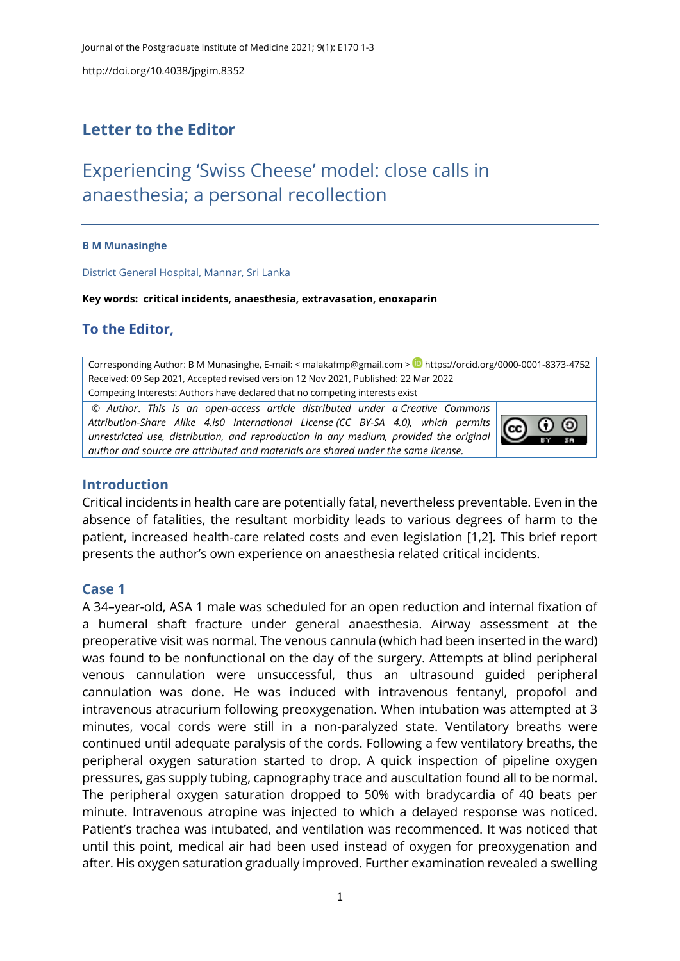http://doi.org/10.4038/jpgim.8352

# **Letter to the Editor**

# Experiencing 'Swiss Cheese' model: close calls in anaesthesia; a personal recollection

#### **B M Munasinghe**

District General Hospital, Mannar, Sri Lanka

**Key words: critical incidents, anaesthesia, extravasation, enoxaparin**

## **To the Editor,**

Corresponding Author: B M Munasinghe, E-mail: < [malakafmp@gmail.com](mailto:malakafmp@gmail.com) > D <https://orcid.org/0000-0001-8373-4752> Received: 09 Sep 2021, Accepted revised version 12 Nov 2021, Published: 22 Mar 2022 Competing Interests: Authors have declared that no competing interests exist

© *Author*. *This is an open-access article distributed under a [Creative Commons](http://creativecommons.org/licenses/by-sa/4.0/)  [Attribution-Share Alike 4.is0 International License](http://creativecommons.org/licenses/by-sa/4.0/) (CC BY-SA 4.0), which permits unrestricted use, distribution, and reproduction in any medium, provided the original author and source are attributed and materials are shared under the same license.* 



#### **Introduction**

Critical incidents in health care are potentially fatal, nevertheless preventable. Even in the absence of fatalities, the resultant morbidity leads to various degrees of harm to the patient, increased health-care related costs and even legislation [\[1](#page-2-0)[,2\]](#page-2-1). This brief report presents the author's own experience on anaesthesia related critical incidents.

#### **Case 1**

A 34–year-old, ASA 1 male was scheduled for an open reduction and internal fixation of a humeral shaft fracture under general anaesthesia. Airway assessment at the preoperative visit was normal. The venous cannula (which had been inserted in the ward) was found to be nonfunctional on the day of the surgery. Attempts at blind peripheral venous cannulation were unsuccessful, thus an ultrasound guided peripheral cannulation was done. He was induced with intravenous fentanyl, propofol and intravenous atracurium following preoxygenation. When intubation was attempted at 3 minutes, vocal cords were still in a non-paralyzed state. Ventilatory breaths were continued until adequate paralysis of the cords. Following a few ventilatory breaths, the peripheral oxygen saturation started to drop. A quick inspection of pipeline oxygen pressures, gas supply tubing, capnography trace and auscultation found all to be normal. The peripheral oxygen saturation dropped to 50% with bradycardia of 40 beats per minute. Intravenous atropine was injected to which a delayed response was noticed. Patient's trachea was intubated, and ventilation was recommenced. It was noticed that until this point, medical air had been used instead of oxygen for preoxygenation and after. His oxygen saturation gradually improved. Further examination revealed a swelling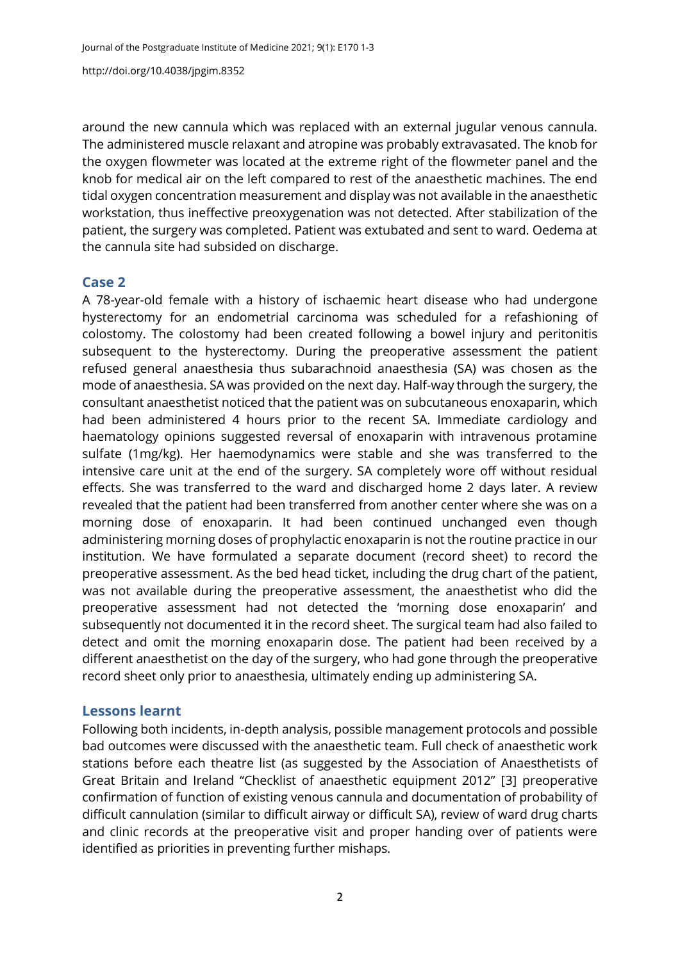http://doi.org/10.4038/jpgim.8352

around the new cannula which was replaced with an external jugular venous cannula. The administered muscle relaxant and atropine was probably extravasated. The knob for the oxygen flowmeter was located at the extreme right of the flowmeter panel and the knob for medical air on the left compared to rest of the anaesthetic machines. The end tidal oxygen concentration measurement and display was not available in the anaesthetic workstation, thus ineffective preoxygenation was not detected. After stabilization of the patient, the surgery was completed. Patient was extubated and sent to ward. Oedema at the cannula site had subsided on discharge.

#### **Case 2**

A 78-year-old female with a history of ischaemic heart disease who had undergone hysterectomy for an endometrial carcinoma was scheduled for a refashioning of colostomy. The colostomy had been created following a bowel injury and peritonitis subsequent to the hysterectomy. During the preoperative assessment the patient refused general anaesthesia thus subarachnoid anaesthesia (SA) was chosen as the mode of anaesthesia. SA was provided on the next day. Half-way through the surgery, the consultant anaesthetist noticed that the patient was on subcutaneous enoxaparin, which had been administered 4 hours prior to the recent SA. Immediate cardiology and haematology opinions suggested reversal of enoxaparin with intravenous protamine sulfate (1mg/kg). Her haemodynamics were stable and she was transferred to the intensive care unit at the end of the surgery. SA completely wore off without residual effects. She was transferred to the ward and discharged home 2 days later. A review revealed that the patient had been transferred from another center where she was on a morning dose of enoxaparin. It had been continued unchanged even though administering morning doses of prophylactic enoxaparin is not the routine practice in our institution. We have formulated a separate document (record sheet) to record the preoperative assessment. As the bed head ticket, including the drug chart of the patient, was not available during the preoperative assessment, the anaesthetist who did the preoperative assessment had not detected the 'morning dose enoxaparin' and subsequently not documented it in the record sheet. The surgical team had also failed to detect and omit the morning enoxaparin dose. The patient had been received by a different anaesthetist on the day of the surgery, who had gone through the preoperative record sheet only prior to anaesthesia, ultimately ending up administering SA.

### **Lessons learnt**

Following both incidents, in-depth analysis, possible management protocols and possible bad outcomes were discussed with the anaesthetic team. Full check of anaesthetic work stations before each theatre list (as suggested by the Association of Anaesthetists of Great Britain and Ireland "Checklist of anaesthetic equipment 2012" [[3\]](#page-2-2) preoperative confirmation of function of existing venous cannula and documentation of probability of difficult cannulation (similar to difficult airway or difficult SA), review of ward drug charts and clinic records at the preoperative visit and proper handing over of patients were identified as priorities in preventing further mishaps.